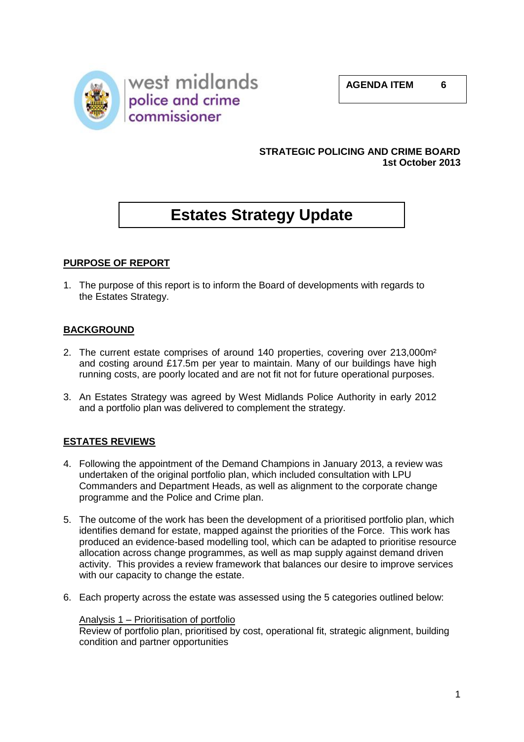



## **STRATEGIC POLICING AND CRIME BOARD 1st October 2013**

# **Estates Strategy Update**

# **PURPOSE OF REPORT**

1. The purpose of this report is to inform the Board of developments with regards to the Estates Strategy.

## **BACKGROUND**

- 2. The current estate comprises of around 140 properties, covering over 213,000m² and costing around £17.5m per year to maintain. Many of our buildings have high running costs, are poorly located and are not fit not for future operational purposes.
- 3. An Estates Strategy was agreed by West Midlands Police Authority in early 2012 and a portfolio plan was delivered to complement the strategy.

## **ESTATES REVIEWS**

- 4. Following the appointment of the Demand Champions in January 2013, a review was undertaken of the original portfolio plan, which included consultation with LPU Commanders and Department Heads, as well as alignment to the corporate change programme and the Police and Crime plan.
- 5. The outcome of the work has been the development of a prioritised portfolio plan, which identifies demand for estate, mapped against the priorities of the Force. This work has produced an evidence-based modelling tool, which can be adapted to prioritise resource allocation across change programmes, as well as map supply against demand driven activity. This provides a review framework that balances our desire to improve services with our capacity to change the estate.
- 6. Each property across the estate was assessed using the 5 categories outlined below:

## Analysis 1 – Prioritisation of portfolio

Review of portfolio plan, prioritised by cost, operational fit, strategic alignment, building condition and partner opportunities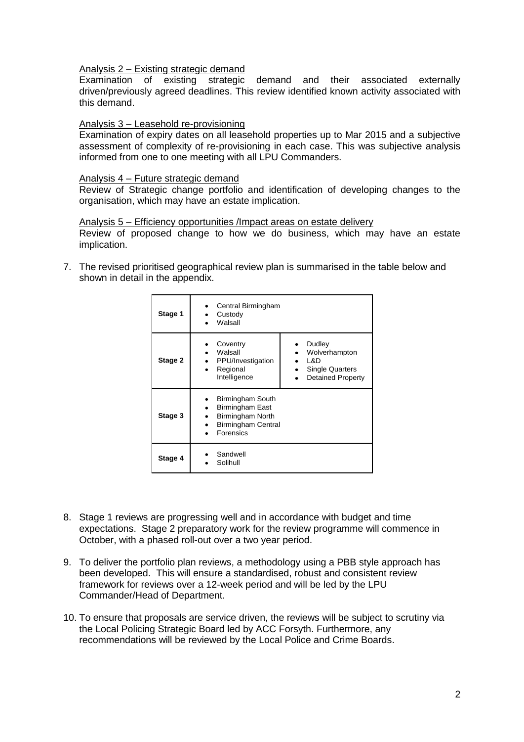Analysis 2 – Existing strategic demand

Examination of existing strategic demand and their associated externally driven/previously agreed deadlines. This review identified known activity associated with this demand.

#### Analysis 3 – Leasehold re-provisioning

Examination of expiry dates on all leasehold properties up to Mar 2015 and a subjective assessment of complexity of re-provisioning in each case. This was subjective analysis informed from one to one meeting with all LPU Commanders.

#### Analysis 4 – Future strategic demand

Review of Strategic change portfolio and identification of developing changes to the organisation, which may have an estate implication.

#### Analysis 5 – Efficiency opportunities /Impact areas on estate delivery

Review of proposed change to how we do business, which may have an estate implication.

7. The revised prioritised geographical review plan is summarised in the table below and shown in detail in the appendix.

| Stage 1 | Central Birmingham<br>Custody<br>Walsall                                                                                                                     |
|---------|--------------------------------------------------------------------------------------------------------------------------------------------------------------|
| Stage 2 | Coventry<br>Dudley<br>Walsall<br>Wolverhampton<br>L&D<br>PPU/Investigation<br>Regional<br><b>Single Quarters</b><br>Intelligence<br><b>Detained Property</b> |
| Stage 3 | Birmingham South<br>Birmingham East<br>Birmingham North<br><b>Birmingham Central</b><br>Forensics                                                            |
| Stage 4 | Sandwell<br>Solihull                                                                                                                                         |

- 8. Stage 1 reviews are progressing well and in accordance with budget and time expectations. Stage 2 preparatory work for the review programme will commence in October, with a phased roll-out over a two year period.
- 9. To deliver the portfolio plan reviews, a methodology using a PBB style approach has been developed. This will ensure a standardised, robust and consistent review framework for reviews over a 12-week period and will be led by the LPU Commander/Head of Department.
- 10. To ensure that proposals are service driven, the reviews will be subject to scrutiny via the Local Policing Strategic Board led by ACC Forsyth. Furthermore, any recommendations will be reviewed by the Local Police and Crime Boards.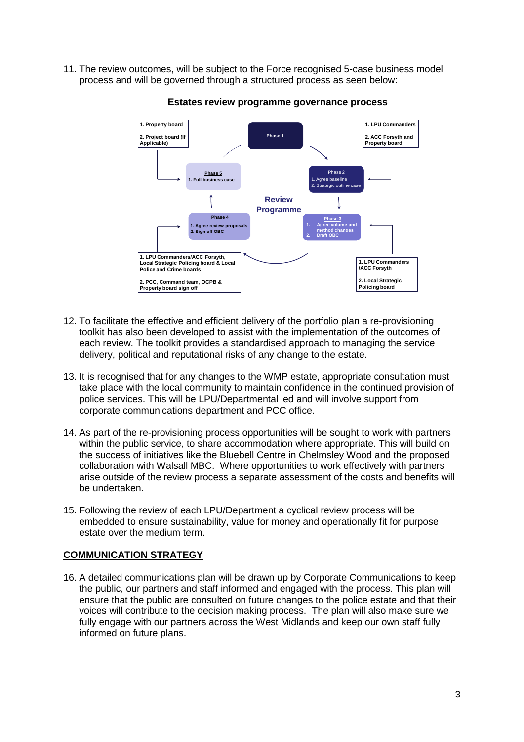11. The review outcomes, will be subject to the Force recognised 5-case business model process and will be governed through a structured process as seen below:



**Estates review programme governance process**

- 12. To facilitate the effective and efficient delivery of the portfolio plan a re-provisioning toolkit has also been developed to assist with the implementation of the outcomes of each review. The toolkit provides a standardised approach to managing the service delivery, political and reputational risks of any change to the estate.
- 13. It is recognised that for any changes to the WMP estate, appropriate consultation must take place with the local community to maintain confidence in the continued provision of police services. This will be LPU/Departmental led and will involve support from corporate communications department and PCC office.
- 14. As part of the re-provisioning process opportunities will be sought to work with partners within the public service, to share accommodation where appropriate. This will build on the success of initiatives like the Bluebell Centre in Chelmsley Wood and the proposed collaboration with Walsall MBC. Where opportunities to work effectively with partners arise outside of the review process a separate assessment of the costs and benefits will be undertaken.
- 15. Following the review of each LPU/Department a cyclical review process will be embedded to ensure sustainability, value for money and operationally fit for purpose estate over the medium term.

## **COMMUNICATION STRATEGY**

16. A detailed communications plan will be drawn up by Corporate Communications to keep the public, our partners and staff informed and engaged with the process. This plan will ensure that the public are consulted on future changes to the police estate and that their voices will contribute to the decision making process. The plan will also make sure we fully engage with our partners across the West Midlands and keep our own staff fully informed on future plans.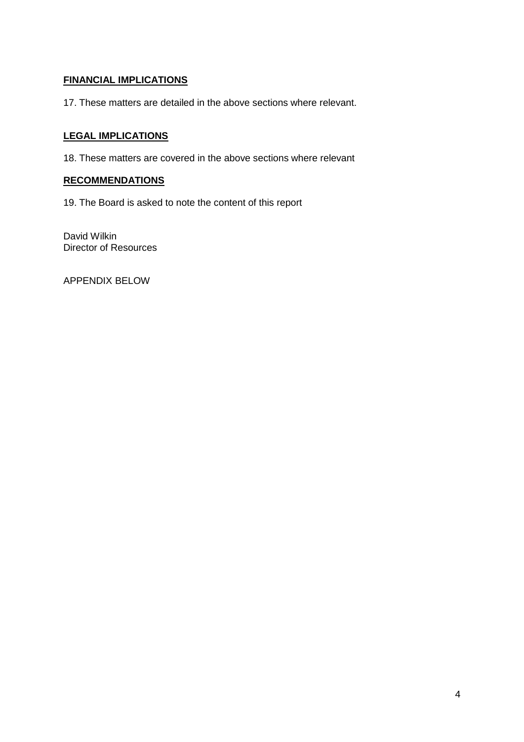# **FINANCIAL IMPLICATIONS**

17. These matters are detailed in the above sections where relevant.

# **LEGAL IMPLICATIONS**

18. These matters are covered in the above sections where relevant

## **RECOMMENDATIONS**

19. The Board is asked to note the content of this report

David Wilkin Director of Resources

APPENDIX BELOW